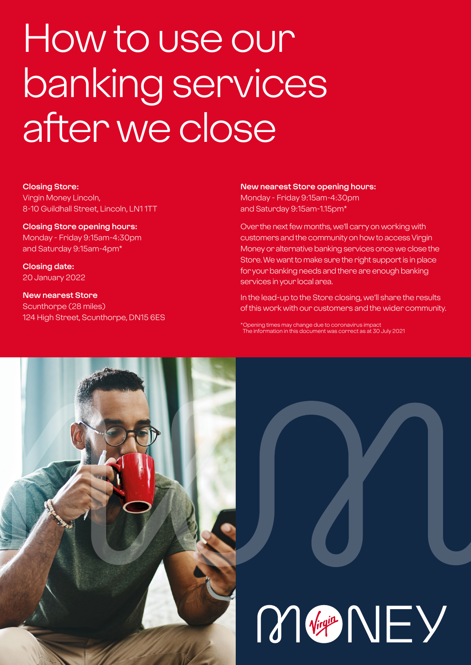# How to use our banking services after we close

#### **Closing Store:**

Virgin Money Lincoln, 8-10 Guildhall Street, Lincoln, LN1 1TT

#### **Closing Store opening hours:**  Monday - Friday 9:15am-4:30pm and Saturday 9:15am-4pm\*

**Closing date:**  20 January 2022

**New nearest Store** Scunthorpe (28 miles) 124 High Street, Scunthorpe, DN15 6ES

#### **New nearest Store opening hours:**

Monday - Friday 9:15am-4:30pm and Saturday 9:15am-1.15pm\*

Over the next few months, we'll carry on working with customers and the community on how to access Virgin Money or alternative banking services once we close the Store. We want to make sure the right support is in place for your banking needs and there are enough banking services in your local area.

In the lead-up to the Store closing, we'll share the results of this work with our customers and the wider community.

\*Opening times may change due to coronavirus impact The information in this document was correct as at 30 July 2021

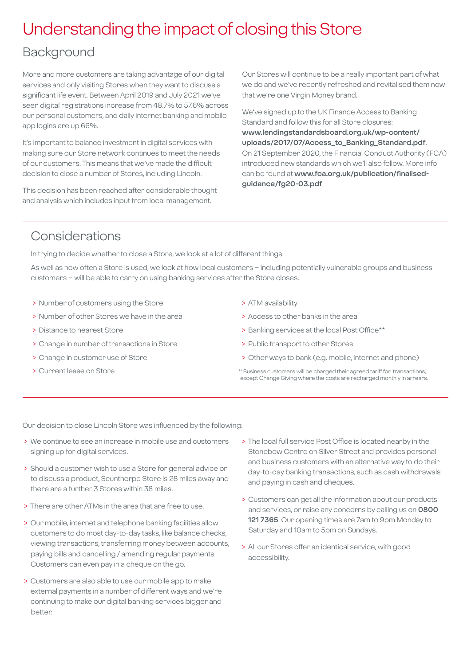### Understanding the impact of closing this Store

### Background

More and more customers are taking advantage of our digital services and only visiting Stores when they want to discuss a significant life event. Between April 2019 and July 2021 we've seen digital registrations increase from 48.7% to 57.6% across our personal customers, and daily internet banking and mobile app logins are up 66%.

It's important to balance investment in digital services with making sure our Store network continues to meet the needs of our customers. This means that we've made the difficult decision to close a number of Stores, including Lincoln.

This decision has been reached after considerable thought and analysis which includes input from local management.

Our Stores will continue to be a really important part of what we do and we've recently refreshed and revitalised them now that we're one Virgin Money brand.

We've signed up to the UK Finance Access to Banking Standard and follow this for all Store closures: **[www.lendingstandardsboard.org.uk/wp-content/](http://www.lendingstandardsboard.org.uk/wp-content/uploads/2017/07/Access_to_Banking_Standard.pdf) [uploads/2017/07/Access\\_to\\_Banking\\_Standard.pdf](http://www.lendingstandardsboard.org.uk/wp-content/uploads/2017/07/Access_to_Banking_Standard.pdf)**. On 21 September 2020, the Financial Conduct Authority (FCA) introduced new standards which we'll also follow. More info can be found at **[www.fca.org.uk/publication/finalised](http://www.fca.org.uk/publication/finalised-guidance/fg20-03.pdf)[guidance/fg20-03.pdf](http://www.fca.org.uk/publication/finalised-guidance/fg20-03.pdf)**

### Considerations

In trying to decide whether to close a Store, we look at a lot of different things.

As well as how often a Store is used, we look at how local customers – including potentially vulnerable groups and business customers – will be able to carry on using banking services after the Store closes.

- > Number of customers using the Store
- > Number of other Stores we have in the area
- > Distance to nearest Store
- > Change in number of transactions in Store
- > Change in customer use of Store
- > Current lease on Store
- > ATM availability
- > Access to other banks in the area
- > Banking services at the local Post Office\*\*
- > Public transport to other Stores
- > Other ways to bank (e.g. mobile, internet and phone)
- \*\*Business customers will be charged their agreed tariff for transactions, except Change Giving where the costs are recharged monthly in arrears.

Our decision to close Lincoln Store was influenced by the following:

- > We continue to see an increase in mobile use and customers signing up for digital services.
- > Should a customer wish to use a Store for general advice or to discuss a product, Scunthorpe Store is 28 miles away and there are a further 3 Stores within 38 miles.
- > There are other ATMs in the area that are free to use.
- > Our mobile, internet and telephone banking facilities allow customers to do most day-to-day tasks, like balance checks, viewing transactions, transferring money between accounts, paying bills and cancelling / amending regular payments. Customers can even pay in a cheque on the go.
- > Customers are also able to use our mobile app to make external payments in a number of different ways and we're continuing to make our digital banking services bigger and better.
- > The local full service Post Office is located nearby in the Stonebow Centre on Silver Street and provides personal and business customers with an alternative way to do their day-to-day banking transactions, such as cash withdrawals and paying in cash and cheques.
- > Customers can get all the information about our products and services, or raise any concerns by calling us on **0800 121 7365**. Our opening times are 7am to 9pm Monday to Saturday and 10am to 5pm on Sundays.
- > All our Stores offer an identical service, with good accessibility.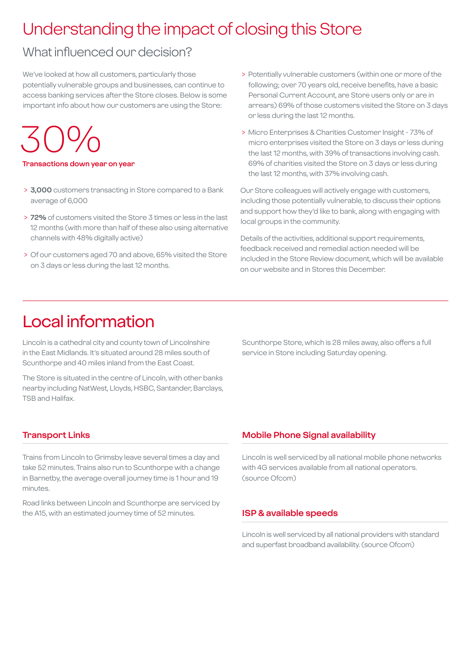### Understanding the impact of closing this Store

### What influenced our decision?

We've looked at how all customers, particularly those potentially vulnerable groups and businesses, can continue to access banking services after the Store closes. Below is some important info about how our customers are using the Store:

30%

#### **Transactions down year on year**

- > **3,000** customers transacting in Store compared to a Bank average of 6,000
- > **72%** of customers visited the Store 3 times or less in the last 12 months (with more than half of these also using alternative channels with 48% digitally active)
- > Of our customers aged 70 and above, 65% visited the Store on 3 days or less during the last 12 months.
- > Potentially vulnerable customers (within one or more of the following; over 70 years old, receive benefits, have a basic Personal Current Account, are Store users only or are in arrears) 69% of those customers visited the Store on 3 days or less during the last 12 months.
- > Micro Enterprises & Charities Customer Insight 73% of micro enterprises visited the Store on 3 days or less during the last 12 months, with 39% of transactions involving cash. 69% of charities visited the Store on 3 days or less during the last 12 months, with 37% involving cash.

Our Store colleagues will actively engage with customers, including those potentially vulnerable, to discuss their options and support how they'd like to bank, along with engaging with local groups in the community.

Details of the activities, additional support requirements, feedback received and remedial action needed will be included in the Store Review document, which will be available on our website and in Stores this December.

### Local information

Lincoln is a cathedral city and county town of Lincolnshire in the East Midlands. It's situated around 28 miles south of Scunthorpe and 40 miles inland from the East Coast.

The Store is situated in the centre of Lincoln, with other banks nearby including NatWest, Lloyds, HSBC, Santander, Barclays, TSB and Halifax.

Scunthorpe Store, which is 28 miles away, also offers a full service in Store including Saturday opening.

#### **Transport Links**

Trains from Lincoln to Grimsby leave several times a day and take 52 minutes. Trains also run to Scunthorpe with a change in Barnetby, the average overall journey time is 1 hour and 19 minutes.

Road links between Lincoln and Scunthorpe are serviced by the A15, with an estimated journey time of 52 minutes.

#### **Mobile Phone Signal availability**

Lincoln is well serviced by all national mobile phone networks with 4G services available from all national operators. (source Ofcom)

#### **ISP & available speeds**

Lincoln is well serviced by all national providers with standard and superfast broadband availability. (source Ofcom)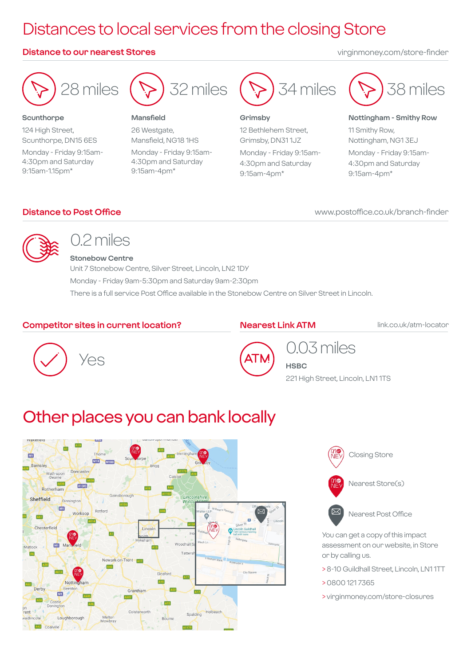### Distances to local services from the closing Store

#### **Distance to our nearest Stores** virginmoney.com/store-finder



#### **Scunthorpe**

124 High Street, Scunthorpe, DN15 6ES Monday - Friday 9:15am-4:30pm and Saturday 9:15am-1.15pm\*



#### **Mansfield**

26 Westgate, Mansfield, NG18 1HS Monday - Friday 9:15am-4:30pm and Saturday 9:15am-4pm\*



#### **Grimsby**

12 Bethlehem Street, Grimsby, DN31 1JZ Monday - Friday 9:15am-4:30pm and Saturday 9:15am-4pm\*



#### **Nottingham - Smithy Row**

11 Smithy Row, Nottingham, NG1 3EJ Monday - Friday 9:15am-4:30pm and Saturday 9:15am-4pm\*

#### **Distance to Post Office**

www.postoffice.co.uk/branch-finder



### 0.2 miles

#### **Stonebow Centre**

Unit 7 Stonebow Centre, Silver Street, Lincoln, LN2 1DY Monday - Friday 9am-5:30pm and Saturday 9am-2:30pm There is a full service Post Office available in the Stonebow Centre on Silver Street in Lincoln.

#### **Competitor sites in current location?**

#### **Nearest Link ATM**

link.co.uk/atm-locator





## 0.03 miles

**HSBC** 221 High Street, Lincoln, LN1 1TS

### Other places you can bank locally







Nearest Post Office

You can get a copy of this impact assessment on our website, in Store or by calling us.

- > 8-10 Guildhall Street, Lincoln, LN1 1TT
- > 0800 121 7365
- > virginmoney.com/store-closures